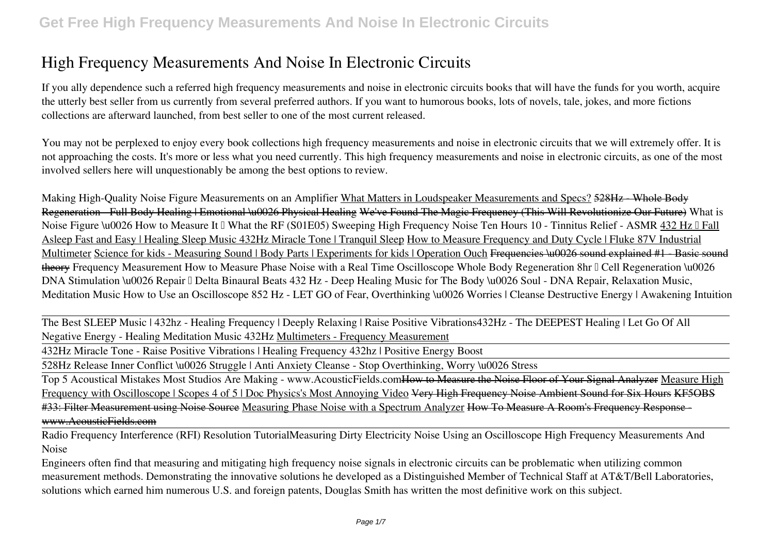If you ally dependence such a referred **high frequency measurements and noise in electronic circuits** books that will have the funds for you worth, acquire the utterly best seller from us currently from several preferred authors. If you want to humorous books, lots of novels, tale, jokes, and more fictions collections are afterward launched, from best seller to one of the most current released.

You may not be perplexed to enjoy every book collections high frequency measurements and noise in electronic circuits that we will extremely offer. It is not approaching the costs. It's more or less what you need currently. This high frequency measurements and noise in electronic circuits, as one of the most involved sellers here will unquestionably be among the best options to review.

**Making High-Quality Noise Figure Measurements on an Amplifier** What Matters in Loudspeaker Measurements and Specs? 528Hz - Whole Body Regeneration - Full Body Healing | Emotional \u0026 Physical Healing We've Found The Magic Frequency (This Will Revolutionize Our Future) **What is** Noise Figure \u0026 How to Measure It □ What the RF (S01E05) Sweeping High Frequency Noise Ten Hours 10 - Tinnitus Relief - ASMR 432 Hz □ Fall Asleep Fast and Easy | Healing Sleep Music 432Hz Miracle Tone | Tranquil Sleep How to Measure Frequency and Duty Cycle | Fluke 87V Industrial Multimeter Science for kids - Measuring Sound | Body Parts | Experiments for kids | Operation Ouch Frequencies \u0026 sound explained #1 - Basic sound theory Frequency Measurement How to Measure Phase Noise with a Real Time Oscilloscope Whole Body Regeneration 8hr *□* Cell Regeneration \u0026 *DNA Stimulation \u0026 Repair ☮ Delta Binaural Beats* 432 Hz - Deep Healing Music for The Body \u0026 Soul - DNA Repair, Relaxation Music, Meditation Music *How to Use an Oscilloscope* **852 Hz - LET GO of Fear, Overthinking \u0026 Worries | Cleanse Destructive Energy | Awakening Intuition**

The Best SLEEP Music | 432hz - Healing Frequency | Deeply Relaxing | Raise Positive Vibrations*432Hz - The DEEPEST Healing | Let Go Of All Negative Energy - Healing Meditation Music 432Hz* Multimeters - Frequency Measurement

432Hz Miracle Tone - Raise Positive Vibrations | Healing Frequency 432hz | Positive Energy Boost

528Hz Release Inner Conflict \u0026 Struggle | Anti Anxiety Cleanse - Stop Overthinking, Worry \u0026 Stress

Top 5 Acoustical Mistakes Most Studios Are Making - www.AcousticFields.com How to Measure the Noise Floor of Your Signal Analyzer Measure High Frequency with Oscilloscope | Scopes 4 of 5 | Doc Physics's Most Annoying Video <del>Very High Frequency Noise Ambient Sound for Six Hours KF5OBS</del> #33: Filter Measurement using Noise Source Measuring Phase Noise with a Spectrum Analyzer How To Measure A Room's Frequency Response www.AcousticFields.com

Radio Frequency Interference (RFI) Resolution Tutorial**Measuring Dirty Electricity Noise Using an Oscilloscope** *High Frequency Measurements And Noise*

Engineers often find that measuring and mitigating high frequency noise signals in electronic circuits can be problematic when utilizing common measurement methods. Demonstrating the innovative solutions he developed as a Distinguished Member of Technical Staff at AT&T/Bell Laboratories, solutions which earned him numerous U.S. and foreign patents, Douglas Smith has written the most definitive work on this subject.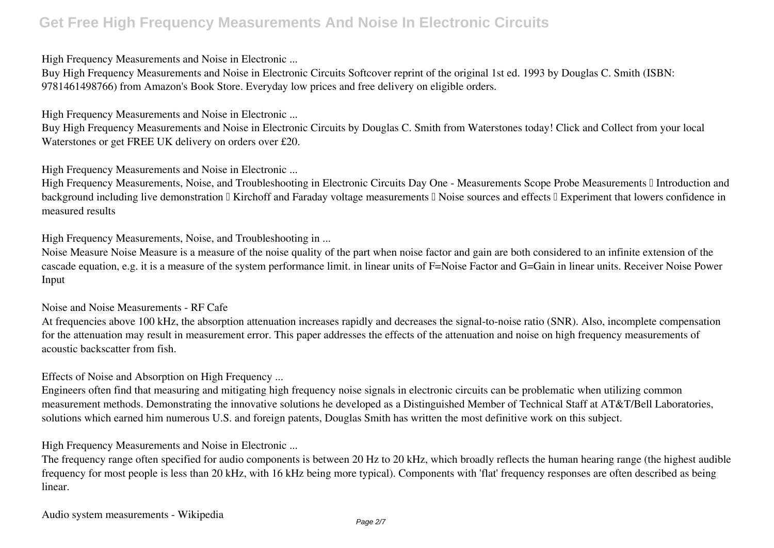*High Frequency Measurements and Noise in Electronic ...*

Buy High Frequency Measurements and Noise in Electronic Circuits Softcover reprint of the original 1st ed. 1993 by Douglas C. Smith (ISBN: 9781461498766) from Amazon's Book Store. Everyday low prices and free delivery on eligible orders.

*High Frequency Measurements and Noise in Electronic ...*

Buy High Frequency Measurements and Noise in Electronic Circuits by Douglas C. Smith from Waterstones today! Click and Collect from your local Waterstones or get FREE UK delivery on orders over £20.

*High Frequency Measurements and Noise in Electronic ...*

High Frequency Measurements, Noise, and Troubleshooting in Electronic Circuits Day One - Measurements Scope Probe Measurements II Introduction and background including live demonstration  $\Box$  Kirchoff and Faraday voltage measurements  $\Box$  Noise sources and effects  $\Box$  Experiment that lowers confidence in measured results

*High Frequency Measurements, Noise, and Troubleshooting in ...*

Noise Measure Noise Measure is a measure of the noise quality of the part when noise factor and gain are both considered to an infinite extension of the cascade equation, e.g. it is a measure of the system performance limit. in linear units of F=Noise Factor and G=Gain in linear units. Receiver Noise Power Input

#### *Noise and Noise Measurements - RF Cafe*

At frequencies above 100 kHz, the absorption attenuation increases rapidly and decreases the signal-to-noise ratio (SNR). Also, incomplete compensation for the attenuation may result in measurement error. This paper addresses the effects of the attenuation and noise on high frequency measurements of acoustic backscatter from fish.

*Effects of Noise and Absorption on High Frequency ...*

Engineers often find that measuring and mitigating high frequency noise signals in electronic circuits can be problematic when utilizing common measurement methods. Demonstrating the innovative solutions he developed as a Distinguished Member of Technical Staff at AT&T/Bell Laboratories, solutions which earned him numerous U.S. and foreign patents, Douglas Smith has written the most definitive work on this subject.

*High Frequency Measurements and Noise in Electronic ...*

The frequency range often specified for audio components is between 20 Hz to 20 kHz, which broadly reflects the human hearing range (the highest audible frequency for most people is less than 20 kHz, with 16 kHz being more typical). Components with 'flat' frequency responses are often described as being linear.

*Audio system measurements - Wikipedia*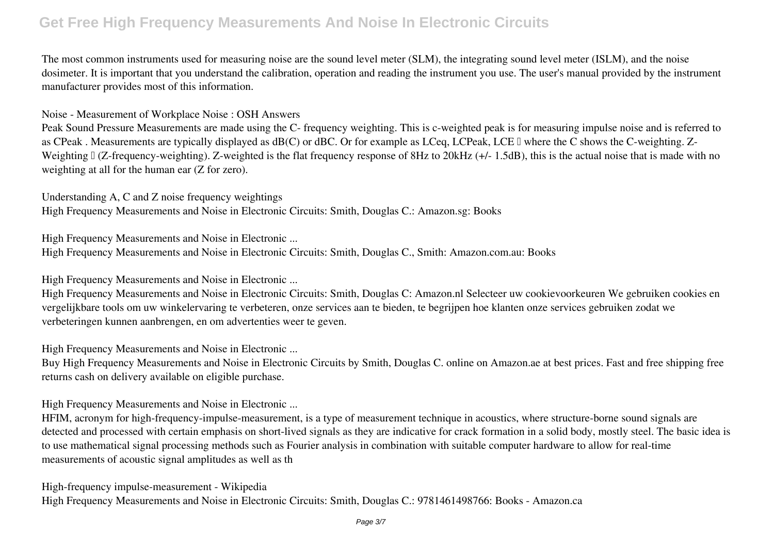The most common instruments used for measuring noise are the sound level meter (SLM), the integrating sound level meter (ISLM), and the noise dosimeter. It is important that you understand the calibration, operation and reading the instrument you use. The user's manual provided by the instrument manufacturer provides most of this information.

*Noise - Measurement of Workplace Noise : OSH Answers*

Peak Sound Pressure Measurements are made using the C- frequency weighting. This is c-weighted peak is for measuring impulse noise and is referred to as CPeak. Measurements are typically displayed as dB(C) or dBC. Or for example as LCeq, LCPeak, LCE II where the C shows the C-weighting. Z-Weighting  $\lfloor$  (Z-frequency-weighting). Z-weighted is the flat frequency response of 8Hz to 20kHz (+/- 1.5dB), this is the actual noise that is made with no weighting at all for the human ear (Z for zero).

*Understanding A, C and Z noise frequency weightings* High Frequency Measurements and Noise in Electronic Circuits: Smith, Douglas C.: Amazon.sg: Books

*High Frequency Measurements and Noise in Electronic ...* High Frequency Measurements and Noise in Electronic Circuits: Smith, Douglas C., Smith: Amazon.com.au: Books

*High Frequency Measurements and Noise in Electronic ...*

High Frequency Measurements and Noise in Electronic Circuits: Smith, Douglas C: Amazon.nl Selecteer uw cookievoorkeuren We gebruiken cookies en vergelijkbare tools om uw winkelervaring te verbeteren, onze services aan te bieden, te begrijpen hoe klanten onze services gebruiken zodat we verbeteringen kunnen aanbrengen, en om advertenties weer te geven.

*High Frequency Measurements and Noise in Electronic ...*

Buy High Frequency Measurements and Noise in Electronic Circuits by Smith, Douglas C. online on Amazon.ae at best prices. Fast and free shipping free returns cash on delivery available on eligible purchase.

*High Frequency Measurements and Noise in Electronic ...*

HFIM, acronym for high-frequency-impulse-measurement, is a type of measurement technique in acoustics, where structure-borne sound signals are detected and processed with certain emphasis on short-lived signals as they are indicative for crack formation in a solid body, mostly steel. The basic idea is to use mathematical signal processing methods such as Fourier analysis in combination with suitable computer hardware to allow for real-time measurements of acoustic signal amplitudes as well as th

*High-frequency impulse-measurement - Wikipedia* High Frequency Measurements and Noise in Electronic Circuits: Smith, Douglas C.: 9781461498766: Books - Amazon.ca

Page 3/7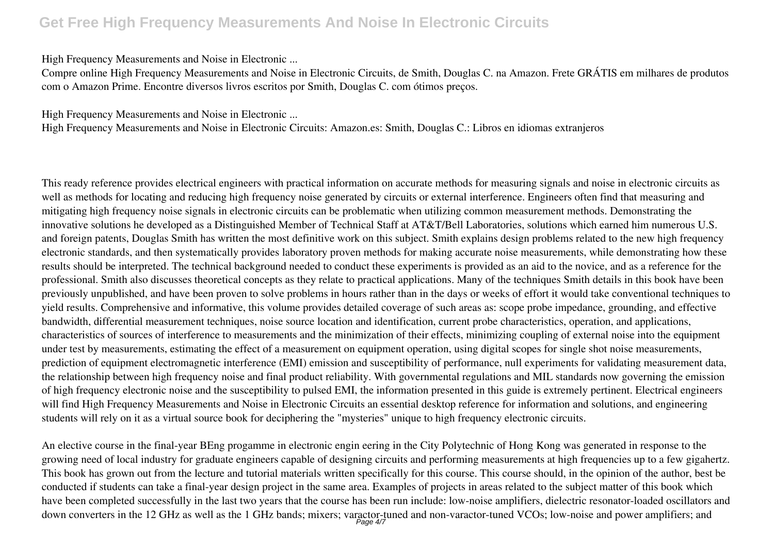*High Frequency Measurements and Noise in Electronic ...*

Compre online High Frequency Measurements and Noise in Electronic Circuits, de Smith, Douglas C. na Amazon. Frete GRÁTIS em milhares de produtos com o Amazon Prime. Encontre diversos livros escritos por Smith, Douglas C. com ótimos preços.

*High Frequency Measurements and Noise in Electronic ...*

High Frequency Measurements and Noise in Electronic Circuits: Amazon.es: Smith, Douglas C.: Libros en idiomas extranjeros

This ready reference provides electrical engineers with practical information on accurate methods for measuring signals and noise in electronic circuits as well as methods for locating and reducing high frequency noise generated by circuits or external interference. Engineers often find that measuring and mitigating high frequency noise signals in electronic circuits can be problematic when utilizing common measurement methods. Demonstrating the innovative solutions he developed as a Distinguished Member of Technical Staff at AT&T/Bell Laboratories, solutions which earned him numerous U.S. and foreign patents, Douglas Smith has written the most definitive work on this subject. Smith explains design problems related to the new high frequency electronic standards, and then systematically provides laboratory proven methods for making accurate noise measurements, while demonstrating how these results should be interpreted. The technical background needed to conduct these experiments is provided as an aid to the novice, and as a reference for the professional. Smith also discusses theoretical concepts as they relate to practical applications. Many of the techniques Smith details in this book have been previously unpublished, and have been proven to solve problems in hours rather than in the days or weeks of effort it would take conventional techniques to yield results. Comprehensive and informative, this volume provides detailed coverage of such areas as: scope probe impedance, grounding, and effective bandwidth, differential measurement techniques, noise source location and identification, current probe characteristics, operation, and applications, characteristics of sources of interference to measurements and the minimization of their effects, minimizing coupling of external noise into the equipment under test by measurements, estimating the effect of a measurement on equipment operation, using digital scopes for single shot noise measurements, prediction of equipment electromagnetic interference (EMI) emission and susceptibility of performance, null experiments for validating measurement data, the relationship between high frequency noise and final product reliability. With governmental regulations and MIL standards now governing the emission of high frequency electronic noise and the susceptibility to pulsed EMI, the information presented in this guide is extremely pertinent. Electrical engineers will find High Frequency Measurements and Noise in Electronic Circuits an essential desktop reference for information and solutions, and engineering students will rely on it as a virtual source book for deciphering the "mysteries" unique to high frequency electronic circuits.

An elective course in the final-year BEng progamme in electronic engin eering in the City Polytechnic of Hong Kong was generated in response to the growing need of local industry for graduate engineers capable of designing circuits and performing measurements at high frequencies up to a few gigahertz. This book has grown out from the lecture and tutorial materials written specifically for this course. This course should, in the opinion of the author, best be conducted if students can take a final-year design project in the same area. Examples of projects in areas related to the subject matter of this book which have been completed successfully in the last two years that the course has been run include: low-noise amplifiers, dielectric resonator-loaded oscillators and down converters in the 12 GHz as well as the 1 GHz bands; mixers; varactor-tuned and non-varactor-tuned VCOs; low-noise and power amplifiers; and<br>Page 4/7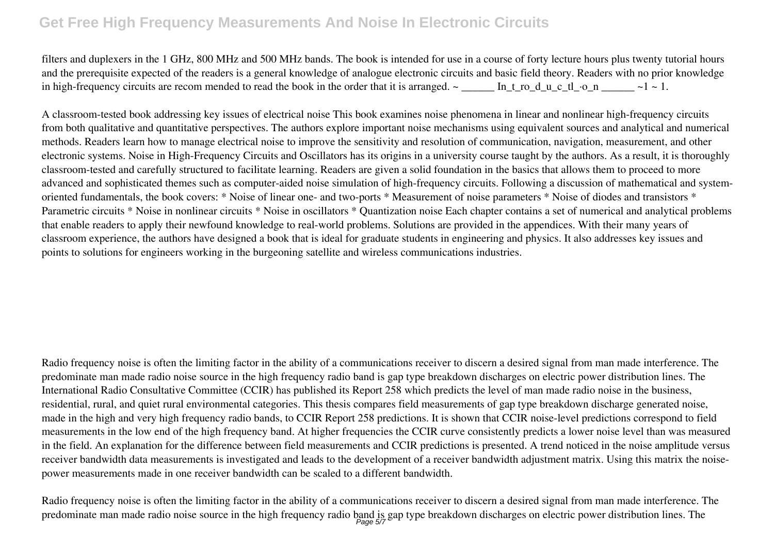filters and duplexers in the 1 GHz, 800 MHz and 500 MHz bands. The book is intended for use in a course of forty lecture hours plus twenty tutorial hours and the prerequisite expected of the readers is a general knowledge of analogue electronic circuits and basic field theory. Readers with no prior knowledge in high-frequency circuits are recom mended to read the book in the order that it is arranged.  $\sim$  \_\_\_\_\_\_ In\_t\_ro\_d\_u\_c\_tl\_·o\_n \_\_\_\_\_ ~1 ~ 1.

A classroom-tested book addressing key issues of electrical noise This book examines noise phenomena in linear and nonlinear high-frequency circuits from both qualitative and quantitative perspectives. The authors explore important noise mechanisms using equivalent sources and analytical and numerical methods. Readers learn how to manage electrical noise to improve the sensitivity and resolution of communication, navigation, measurement, and other electronic systems. Noise in High-Frequency Circuits and Oscillators has its origins in a university course taught by the authors. As a result, it is thoroughly classroom-tested and carefully structured to facilitate learning. Readers are given a solid foundation in the basics that allows them to proceed to more advanced and sophisticated themes such as computer-aided noise simulation of high-frequency circuits. Following a discussion of mathematical and systemoriented fundamentals, the book covers: \* Noise of linear one- and two-ports \* Measurement of noise parameters \* Noise of diodes and transistors \* Parametric circuits \* Noise in nonlinear circuits \* Noise in oscillators \* Quantization noise Each chapter contains a set of numerical and analytical problems that enable readers to apply their newfound knowledge to real-world problems. Solutions are provided in the appendices. With their many years of classroom experience, the authors have designed a book that is ideal for graduate students in engineering and physics. It also addresses key issues and points to solutions for engineers working in the burgeoning satellite and wireless communications industries.

Radio frequency noise is often the limiting factor in the ability of a communications receiver to discern a desired signal from man made interference. The predominate man made radio noise source in the high frequency radio band is gap type breakdown discharges on electric power distribution lines. The International Radio Consultative Committee (CCIR) has published its Report 258 which predicts the level of man made radio noise in the business, residential, rural, and quiet rural environmental categories. This thesis compares field measurements of gap type breakdown discharge generated noise, made in the high and very high frequency radio bands, to CCIR Report 258 predictions. It is shown that CCIR noise-level predictions correspond to field measurements in the low end of the high frequency band. At higher frequencies the CCIR curve consistently predicts a lower noise level than was measured in the field. An explanation for the difference between field measurements and CCIR predictions is presented. A trend noticed in the noise amplitude versus receiver bandwidth data measurements is investigated and leads to the development of a receiver bandwidth adjustment matrix. Using this matrix the noisepower measurements made in one receiver bandwidth can be scaled to a different bandwidth.

Radio frequency noise is often the limiting factor in the ability of a communications receiver to discern a desired signal from man made interference. The predominate man made radio noise source in the high frequency radio band is gap type breakdown discharges on electric power distribution lines. The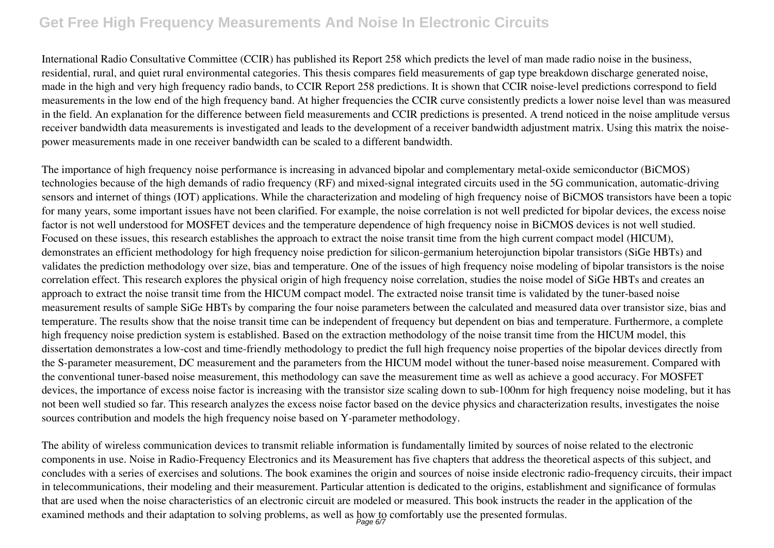International Radio Consultative Committee (CCIR) has published its Report 258 which predicts the level of man made radio noise in the business, residential, rural, and quiet rural environmental categories. This thesis compares field measurements of gap type breakdown discharge generated noise, made in the high and very high frequency radio bands, to CCIR Report 258 predictions. It is shown that CCIR noise-level predictions correspond to field measurements in the low end of the high frequency band. At higher frequencies the CCIR curve consistently predicts a lower noise level than was measured in the field. An explanation for the difference between field measurements and CCIR predictions is presented. A trend noticed in the noise amplitude versus receiver bandwidth data measurements is investigated and leads to the development of a receiver bandwidth adjustment matrix. Using this matrix the noisepower measurements made in one receiver bandwidth can be scaled to a different bandwidth.

The importance of high frequency noise performance is increasing in advanced bipolar and complementary metal-oxide semiconductor (BiCMOS) technologies because of the high demands of radio frequency (RF) and mixed-signal integrated circuits used in the 5G communication, automatic-driving sensors and internet of things (IOT) applications. While the characterization and modeling of high frequency noise of BiCMOS transistors have been a topic for many years, some important issues have not been clarified. For example, the noise correlation is not well predicted for bipolar devices, the excess noise factor is not well understood for MOSFET devices and the temperature dependence of high frequency noise in BiCMOS devices is not well studied. Focused on these issues, this research establishes the approach to extract the noise transit time from the high current compact model (HICUM), demonstrates an efficient methodology for high frequency noise prediction for silicon-germanium heterojunction bipolar transistors (SiGe HBTs) and validates the prediction methodology over size, bias and temperature. One of the issues of high frequency noise modeling of bipolar transistors is the noise correlation effect. This research explores the physical origin of high frequency noise correlation, studies the noise model of SiGe HBTs and creates an approach to extract the noise transit time from the HICUM compact model. The extracted noise transit time is validated by the tuner-based noise measurement results of sample SiGe HBTs by comparing the four noise parameters between the calculated and measured data over transistor size, bias and temperature. The results show that the noise transit time can be independent of frequency but dependent on bias and temperature. Furthermore, a complete high frequency noise prediction system is established. Based on the extraction methodology of the noise transit time from the HICUM model, this dissertation demonstrates a low-cost and time-friendly methodology to predict the full high frequency noise properties of the bipolar devices directly from the S-parameter measurement, DC measurement and the parameters from the HICUM model without the tuner-based noise measurement. Compared with the conventional tuner-based noise measurement, this methodology can save the measurement time as well as achieve a good accuracy. For MOSFET devices, the importance of excess noise factor is increasing with the transistor size scaling down to sub-100nm for high frequency noise modeling, but it has not been well studied so far. This research analyzes the excess noise factor based on the device physics and characterization results, investigates the noise sources contribution and models the high frequency noise based on Y-parameter methodology.

The ability of wireless communication devices to transmit reliable information is fundamentally limited by sources of noise related to the electronic components in use. Noise in Radio-Frequency Electronics and its Measurement has five chapters that address the theoretical aspects of this subject, and concludes with a series of exercises and solutions. The book examines the origin and sources of noise inside electronic radio-frequency circuits, their impact in telecommunications, their modeling and their measurement. Particular attention is dedicated to the origins, establishment and significance of formulas that are used when the noise characteristics of an electronic circuit are modeled or measured. This book instructs the reader in the application of the examined methods and their adaptation to solving problems, as well as how to comfortably use the presented formulas.<br>
<sub>Page 6/7</sub>